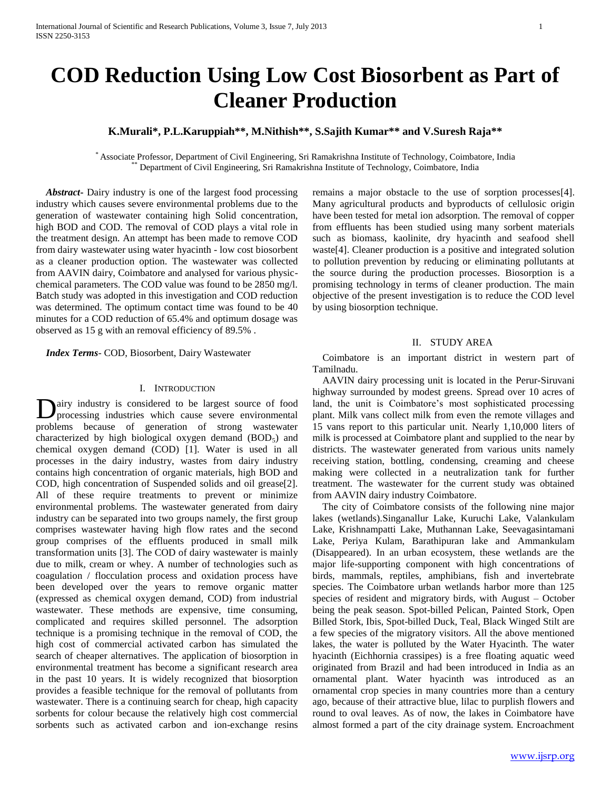# **COD Reduction Using Low Cost Biosorbent as Part of Cleaner Production**

## **K.Murali\*, P.L.Karuppiah\*\*, M.Nithish\*\*, S.Sajith Kumar\*\* and V.Suresh Raja\*\***

\* Associate Professor, Department of Civil Engineering, Sri Ramakrishna Institute of Technology, Coimbatore, India Department of Civil Engineering, Sri Ramakrishna Institute of Technology, Coimbatore, India

 *Abstract***-** Dairy industry is one of the largest food processing industry which causes severe environmental problems due to the generation of wastewater containing high Solid concentration, high BOD and COD. The removal of COD plays a vital role in the treatment design. An attempt has been made to remove COD from dairy wastewater using water hyacinth - low cost biosorbent as a cleaner production option. The wastewater was collected from AAVIN dairy, Coimbatore and analysed for various physicchemical parameters. The COD value was found to be 2850 mg/l. Batch study was adopted in this investigation and COD reduction was determined. The optimum contact time was found to be 40 minutes for a COD reduction of 65.4% and optimum dosage was observed as 15 g with an removal efficiency of 89.5% .

 *Index Terms*- COD, Biosorbent, Dairy Wastewater

#### I. INTRODUCTION

airy industry is considered to be largest source of food Dairy industry is considered to be largest source of food processing industries which cause severe environmental problems because of generation of strong wastewater characterized by high biological oxygen demand  $(BOD<sub>5</sub>)$  and chemical oxygen demand (COD) [1]. Water is used in all processes in the dairy industry, wastes from dairy industry contains high concentration of organic materials, high BOD and COD, high concentration of Suspended solids and oil grease[2]. All of these require treatments to prevent or minimize environmental problems. The wastewater generated from dairy industry can be separated into two groups namely, the first group comprises wastewater having high flow rates and the second group comprises of the effluents produced in small milk transformation units [3]. The COD of dairy wastewater is mainly due to milk, cream or whey. A number of technologies such as coagulation / flocculation process and oxidation process have been developed over the years to remove organic matter (expressed as chemical oxygen demand, COD) from industrial wastewater. These methods are expensive, time consuming, complicated and requires skilled personnel. The adsorption technique is a promising technique in the removal of COD, the high cost of commercial activated carbon has simulated the search of cheaper alternatives. The application of biosorption in environmental treatment has become a significant research area in the past 10 years. It is widely recognized that biosorption provides a feasible technique for the removal of pollutants from wastewater. There is a continuing search for cheap, high capacity sorbents for colour because the relatively high cost commercial sorbents such as activated carbon and ion-exchange resins

remains a major obstacle to the use of sorption processes[4]. Many agricultural products and byproducts of cellulosic origin have been tested for metal ion adsorption. The removal of copper from effluents has been studied using many sorbent materials such as biomass, kaolinite, dry hyacinth and seafood shell waste[4]. Cleaner production is a positive and integrated solution to pollution prevention by reducing or eliminating pollutants at the source during the production processes. Biosorption is a promising technology in terms of cleaner production. The main objective of the present investigation is to reduce the COD level by using biosorption technique.

## II. STUDY AREA

 Coimbatore is an important district in western part of Tamilnadu.

 AAVIN dairy processing unit is located in the Perur-Siruvani highway surrounded by modest greens. Spread over 10 acres of land, the unit is Coimbatore's most sophisticated processing plant. Milk vans collect milk from even the remote villages and 15 vans report to this particular unit. Nearly 1,10,000 liters of milk is processed at Coimbatore plant and supplied to the near by districts. The wastewater generated from various units namely receiving station, bottling, condensing, creaming and cheese making were collected in a neutralization tank for further treatment. The wastewater for the current study was obtained from AAVIN dairy industry Coimbatore.

 The city of Coimbatore consists of the following nine major lakes (wetlands).Singanallur Lake, Kuruchi Lake, Valankulam Lake, Krishnampatti Lake, Muthannan Lake, Seevagasintamani Lake, Periya Kulam, Barathipuran lake and Ammankulam (Disappeared). In an urban ecosystem, these wetlands are the major life-supporting component with high concentrations of birds, mammals, reptiles, amphibians, fish and invertebrate species. The Coimbatore urban wetlands harbor more than 125 species of resident and migratory birds, with August – October being the peak season. Spot-billed Pelican, Painted Stork, Open Billed Stork, Ibis, Spot-billed Duck, Teal, Black Winged Stilt are a few species of the migratory visitors. All the above mentioned lakes, the water is polluted by the Water Hyacinth. The water hyacinth (Eichhornia crassipes) is a free floating aquatic weed originated from Brazil and had been introduced in India as an ornamental plant. Water hyacinth was introduced as an ornamental crop species in many countries more than a century ago, because of their attractive blue, lilac to purplish flowers and round to oval leaves. As of now, the lakes in Coimbatore have almost formed a part of the city drainage system. Encroachment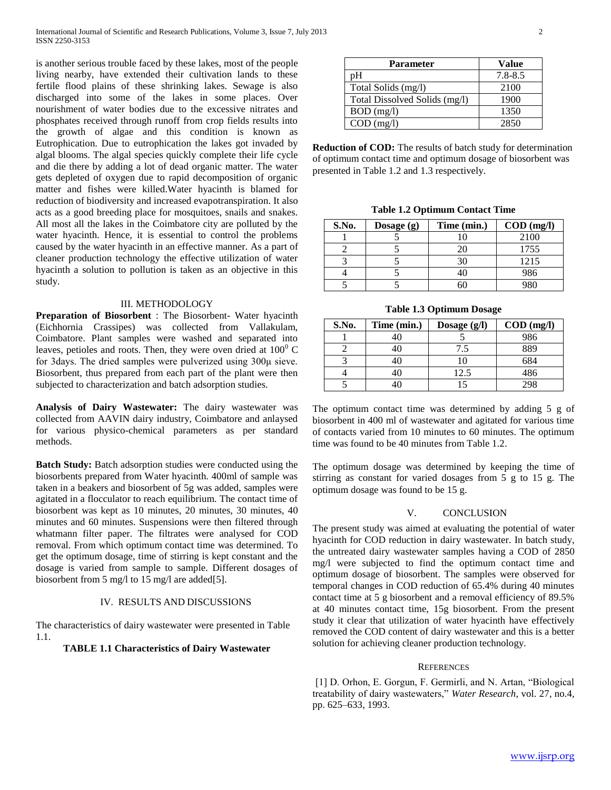is another serious trouble faced by these lakes, most of the people living nearby, have extended their cultivation lands to these fertile flood plains of these shrinking lakes. Sewage is also discharged into some of the lakes in some places. Over nourishment of water bodies due to the excessive nitrates and phosphates received through runoff from crop fields results into the growth of algae and this condition is known as Eutrophication. Due to eutrophication the lakes got invaded by algal blooms. The algal species quickly complete their life cycle and die there by adding a lot of dead organic matter. The water gets depleted of oxygen due to rapid decomposition of organic matter and fishes were killed.Water hyacinth is blamed for reduction of biodiversity and increased evapotranspiration. It also acts as a good breeding place for mosquitoes, snails and snakes. All most all the lakes in the Coimbatore city are polluted by the water hyacinth. Hence, it is essential to control the problems caused by the water hyacinth in an effective manner. As a part of cleaner production technology the effective utilization of water hyacinth a solution to pollution is taken as an objective in this study.

## III. METHODOLOGY

**Preparation of Biosorbent** : The Biosorbent- Water hyacinth (Eichhornia Crassipes) was collected from Vallakulam, Coimbatore. Plant samples were washed and separated into leaves, petioles and roots. Then, they were oven dried at  $100^{\circ}$  C for 3days. The dried samples were pulverized using 300μ sieve. Biosorbent, thus prepared from each part of the plant were then subjected to characterization and batch adsorption studies.

**Analysis of Dairy Wastewater:** The dairy wastewater was collected from AAVIN dairy industry, Coimbatore and anlaysed for various physico-chemical parameters as per standard methods.

**Batch Study:** Batch adsorption studies were conducted using the biosorbents prepared from Water hyacinth. 400ml of sample was taken in a beakers and biosorbent of 5g was added, samples were agitated in a flocculator to reach equilibrium. The contact time of biosorbent was kept as 10 minutes, 20 minutes, 30 minutes, 40 minutes and 60 minutes. Suspensions were then filtered through whatmann filter paper. The filtrates were analysed for COD removal. From which optimum contact time was determined. To get the optimum dosage, time of stirring is kept constant and the dosage is varied from sample to sample. Different dosages of biosorbent from 5 mg/l to 15 mg/l are added[5].

#### IV. RESULTS AND DISCUSSIONS

The characteristics of dairy wastewater were presented in Table 1.1.

## **TABLE 1.1 Characteristics of Dairy Wastewater**

| Parameter                     | Value       |
|-------------------------------|-------------|
| ١H                            | $7.8 - 8.5$ |
| Total Solids (mg/l)           | 2100        |
| Total Dissolved Solids (mg/l) | 1900        |
| $BOD$ (mg/l)                  | 1350        |
| $COD$ (mg/l)                  | 2850        |

**Reduction of COD:** The results of batch study for determination of optimum contact time and optimum dosage of biosorbent was presented in Table 1.2 and 1.3 respectively.

**Table 1.2 Optimum Contact Time**

| S.No. | Dosage $(g)$ | Time (min.) | $\text{COD}$ (mg/l) |
|-------|--------------|-------------|---------------------|
|       |              |             | 2100                |
|       |              |             | 1755                |
|       |              |             | 1215                |
|       |              |             | 986                 |
|       |              |             |                     |

**Table 1.3 Optimum Dosage**

| S.No. | Time (min.) | Dosage $(g/l)$ | $\text{COD}$ (mg/l) |
|-------|-------------|----------------|---------------------|
|       |             |                | 986                 |
|       |             | 7.5            | 889                 |
|       |             |                | 684                 |
|       |             | 12.5           | 486                 |
|       |             |                | 298                 |

The optimum contact time was determined by adding 5 g of biosorbent in 400 ml of wastewater and agitated for various time of contacts varied from 10 minutes to 60 minutes. The optimum time was found to be 40 minutes from Table 1.2.

The optimum dosage was determined by keeping the time of stirring as constant for varied dosages from 5 g to 15 g. The optimum dosage was found to be 15 g.

## V. CONCLUSION

The present study was aimed at evaluating the potential of water hyacinth for COD reduction in dairy wastewater. In batch study, the untreated dairy wastewater samples having a COD of 2850 mg/l were subjected to find the optimum contact time and optimum dosage of biosorbent. The samples were observed for temporal changes in COD reduction of 65.4% during 40 minutes contact time at 5 g biosorbent and a removal efficiency of 89.5% at 40 minutes contact time, 15g biosorbent. From the present study it clear that utilization of water hyacinth have effectively removed the COD content of dairy wastewater and this is a better solution for achieving cleaner production technology.

## **REFERENCES**

[1] D. Orhon, E. Gorgun, F. Germirli, and N. Artan, "Biological treatability of dairy wastewaters," Water Research, vol. 27, no.4, pp. 625–633, 1993.